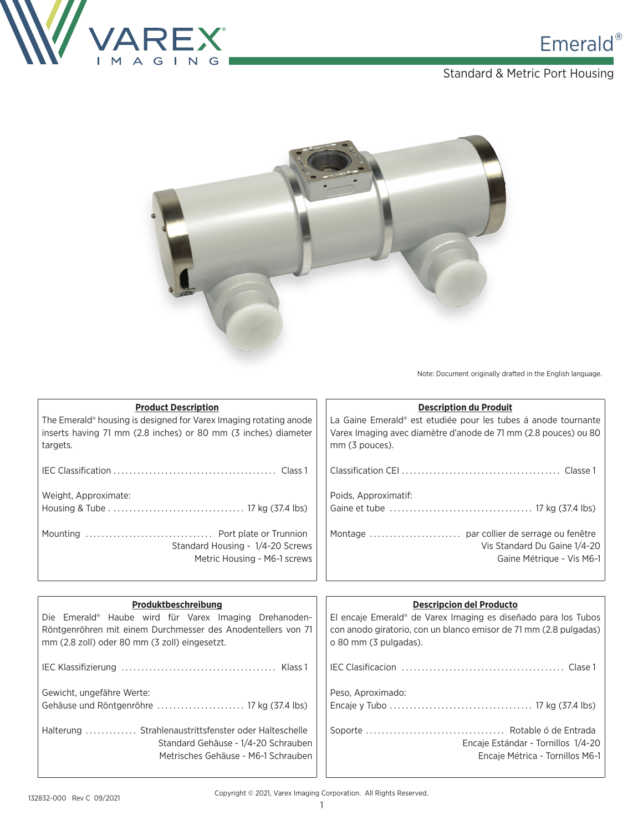

### Standard & Metric Port Housing



Note: Document originally drafted in the English language.

| <b>Product Description</b>                                              | <b>Description du Produit</b>                                              |
|-------------------------------------------------------------------------|----------------------------------------------------------------------------|
| The Emerald® housing is designed for Varex Imaging rotating anode       | La Gaine Emerald® est etudiée pour les tubes á anode tournante             |
| inserts having 71 mm (2.8 inches) or 80 mm (3 inches) diameter          | Varex Imaging avec diamètre d'anode de 71 mm (2.8 pouces) ou 80            |
| targets.                                                                | mm (3 pouces).                                                             |
|                                                                         |                                                                            |
|                                                                         |                                                                            |
| Weight, Approximate:                                                    | Poids, Approximatif:                                                       |
|                                                                         |                                                                            |
|                                                                         |                                                                            |
|                                                                         |                                                                            |
| Standard Housing - 1/4-20 Screws                                        | Vis Standard Du Gaine 1/4-20                                               |
| Metric Housing - M6-1 screws                                            | Gaine Métrique - Vis M6-1                                                  |
|                                                                         |                                                                            |
|                                                                         |                                                                            |
|                                                                         |                                                                            |
| Produktbeschreibung                                                     | <b>Descripcion del Producto</b>                                            |
| Die Emerald® Haube wird für Varex Imaging Drehanoden-                   | El encaje Emerald <sup>®</sup> de Varex Imaging es diseñado para los Tubos |
| Röntgenröhren mit einem Durchmesser des Anodentellers von 71            | con anodo giratorio, con un blanco emisor de 71 mm (2.8 pulgadas)          |
| mm (2.8 zoll) oder 80 mm (3 zoll) eingesetzt.                           | o 80 mm (3 pulgadas).                                                      |
|                                                                         |                                                                            |
|                                                                         |                                                                            |
|                                                                         |                                                                            |
| Gewicht, ungefähre Werte:<br>Gehäuse und Röntgenröhre  17 kg (37.4 lbs) | Peso, Aproximado:                                                          |
|                                                                         |                                                                            |
| Halterung  Strahlenaustrittsfenster oder Halteschelle                   |                                                                            |
| Standard Gehäuse - 1/4-20 Schrauben                                     | Encaje Estándar - Tornillos 1/4-20                                         |
| Metrisches Gehäuse - M6-1 Schrauben                                     | Encaje Métrica - Tornillos M6-1                                            |

J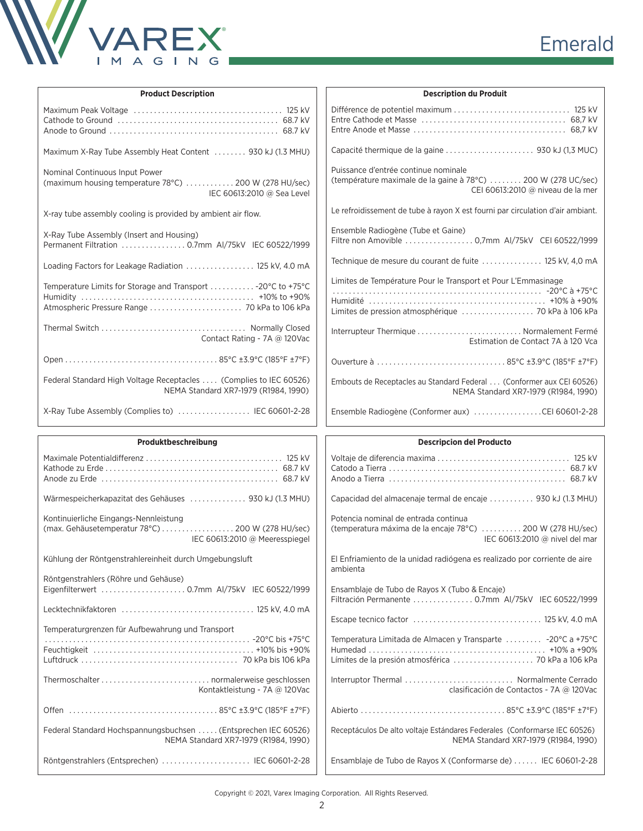

|  |  | Emerald |  |
|--|--|---------|--|

| <b>Product Description</b>                                                                                                  | <b>Description du Produit</b>                                                                                                              |
|-----------------------------------------------------------------------------------------------------------------------------|--------------------------------------------------------------------------------------------------------------------------------------------|
|                                                                                                                             |                                                                                                                                            |
| Maximum X-Ray Tube Assembly Heat Content  930 kJ (1.3 MHU)                                                                  |                                                                                                                                            |
| Nominal Continuous Input Power<br>(maximum housing temperature 78°C)  200 W (278 HU/sec)<br>IEC 60613:2010 @ Sea Level      | Puissance d'entrée continue nominale<br>(température maximale de la gaine à 78°C)  200 W (278 UC/sec)<br>CEI 60613:2010 @ niveau de la mer |
| X-ray tube assembly cooling is provided by ambient air flow.                                                                | Le refroidissement de tube à rayon X est fourni par circulation d'air ambiant.                                                             |
| X-Ray Tube Assembly (Insert and Housing)<br>Permanent Filtration  0.7mm Al/75kV IEC 60522/1999                              | Ensemble Radiogène (Tube et Gaine)<br>Filtre non Amovible  0,7mm Al/75kV CEI 60522/1999                                                    |
| Loading Factors for Leakage Radiation  125 kV, 4.0 mA                                                                       | Technique de mesure du courant de fuite  125 kV, 4,0 mA                                                                                    |
| Temperature Limits for Storage and Transport  - 20°C to +75°C                                                               | Limites de Température Pour le Transport et Pour L'Emmasinage                                                                              |
| Contact Rating - 7A @ 120Vac                                                                                                | Interrupteur Thermique  Normalement Fermé<br>Estimation de Contact 7A à 120 Vca                                                            |
|                                                                                                                             |                                                                                                                                            |
| Federal Standard High Voltage Receptacles  (Complies to IEC 60526)<br>NEMA Standard XR7-1979 (R1984, 1990)                  | Embouts de Receptacles au Standard Federal  (Conformer aux CEI 60526)<br>NEMA Standard XR7-1979 (R1984, 1990)                              |
| X-Ray Tube Assembly (Complies to)  IEC 60601-2-28                                                                           | Ensemble Radiogène (Conformer aux) CEI 60601-2-28                                                                                          |
|                                                                                                                             |                                                                                                                                            |
| Produktbeschreibung                                                                                                         | <b>Descripcion del Producto</b>                                                                                                            |
|                                                                                                                             |                                                                                                                                            |
| Wärmespeicherkapazitat des Gehäuses  930 kJ (1.3 MHU)                                                                       | Capacidad del almacenaje termal de encaje  930 kJ (1.3 MHU)                                                                                |
| Kontinuierliche Eingangs-Nennleistung<br>(max. Gehäusetemperatur 78°C) 200 W (278 HU/sec)<br>IEC 60613:2010 @ Meeresspiegel | Potencia nominal de entrada continua<br>(temperatura máxima de la encaje 78°C)  200 W (278 HU/sec)<br>IEC 60613:2010 @ nivel del mar       |
| Kühlung der Röntgenstrahlereinheit durch Umgebungsluft                                                                      | El Enfriamiento de la unidad radiógena es realizado por corriente de aire<br>ambienta                                                      |
| Röntgenstrahlers (Röhre und Gehäuse)                                                                                        | Ensamblaje de Tubo de Rayos X (Tubo & Encaje)<br>Filtración Permanente  0.7mm AI/75kV IEC 60522/1999                                       |
|                                                                                                                             |                                                                                                                                            |
| Temperaturgrenzen für Aufbewahrung und Transport                                                                            |                                                                                                                                            |
|                                                                                                                             | Temperatura Limitada de Almacen y Transparte  -20°C a +75°C                                                                                |
| Kontaktleistung - 7A @ 120Vac                                                                                               | Interruptor Thermal  Normalmente Cerrado<br>clasificación de Contactos - 7A @ 120Vac                                                       |
|                                                                                                                             |                                                                                                                                            |
| Federal Standard Hochspannungsbuchsen  (Entsprechen IEC 60526)<br>NEMA Standard XR7-1979 (R1984, 1990)                      | Receptáculos De alto voltaje Estándares Federales (Conformarse IEC 60526)<br>NEMA Standard XR7-1979 (R1984, 1990)                          |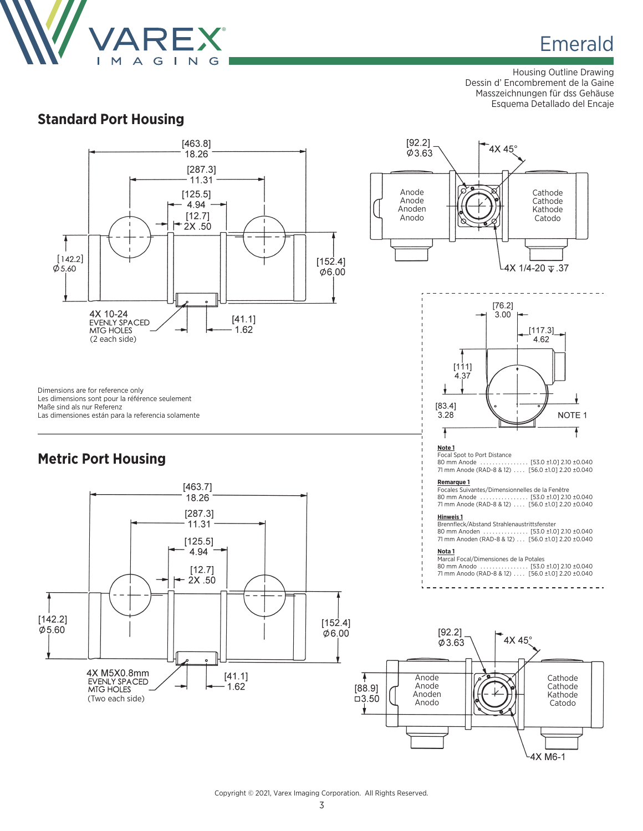

Housing Outline Drawing Dessin d' Encombrement de la Gaine Masszeichnungen für dss Gehäuse Esquema Detallado del Encaje

### **Standard Port Housing**

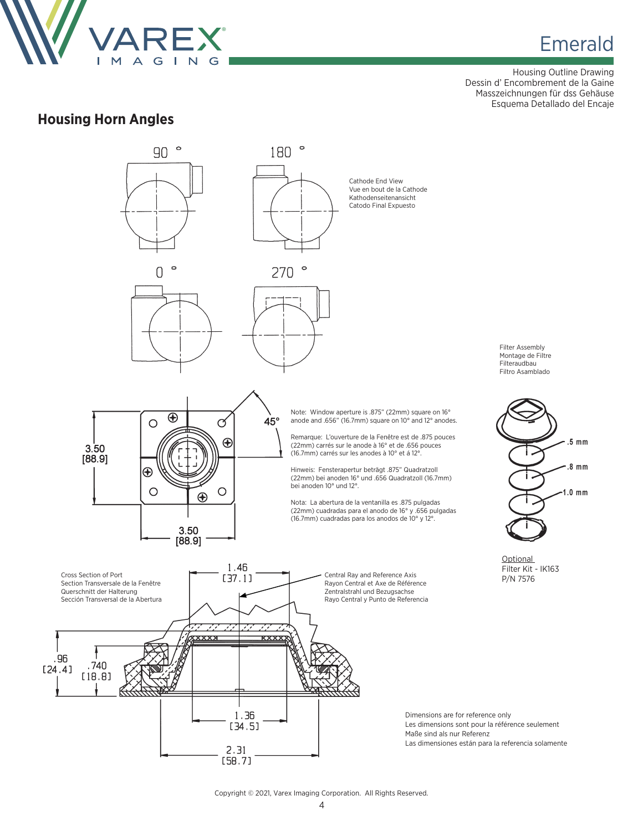

Housing Outline Drawing Dessin d' Encombrement de la Gaine Masszeichnungen für dss Gehäuse Esquema Detallado del Encaje

### **Housing Horn Angles**

.96



#### Copyright © 2021, Varex Imaging Corporation. All Rights Reserved.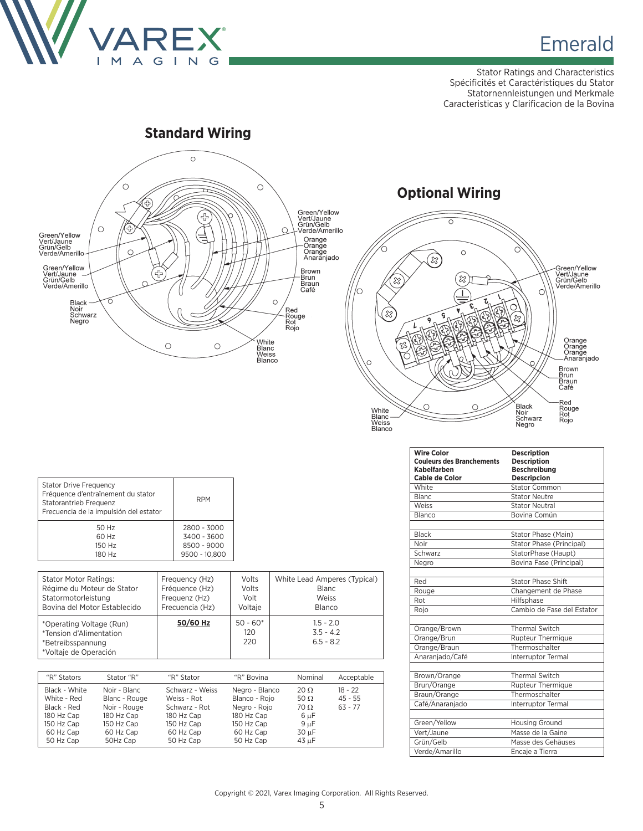

Stator Ratings and Characteristics Spécificités et Caractéristiques du Stator Statornennleistungen und Merkmale Caracteristicas y Clarificacion de la Bovina



# **Optional Wiring**  $\overline{\circ}$



| <b>Stator Drive Frequency</b><br>Fréquence d'entraînement du stator<br>Statorantrieb Frequenz<br>Frecuencia de la impulsión del estator | <b>RPM</b>    |
|-----------------------------------------------------------------------------------------------------------------------------------------|---------------|
| 50 Hz                                                                                                                                   | 2800 - 3000   |
| 60 Hz                                                                                                                                   | 3400 - 3600   |
| 150 Hz                                                                                                                                  | 8500 - 9000   |
| 180 Hz                                                                                                                                  | 9500 - 10.800 |

| <b>Stator Motor Ratings:</b>                                                                      | Frequency (Hz)  | Volts                    | White Lead Amperes (Typical)              |
|---------------------------------------------------------------------------------------------------|-----------------|--------------------------|-------------------------------------------|
| Régime du Moteur de Stator                                                                        | Fréquence (Hz)  | Volts                    | <b>Blanc</b>                              |
| Statormotorleistung                                                                               | Frequenz (Hz)   | Volt                     | Weiss                                     |
| Bovina del Motor Establecido                                                                      | Frecuencia (Hz) | Voltaje                  | Blanco                                    |
| *Operating Voltage (Run)<br>*Tension d'Alimentation<br>*Betreibsspannung<br>*Voltaje de Operación | 50/60 Hz        | $50 - 60*$<br>120<br>220 | $1.5 - 2.0$<br>$3.5 - 4.2$<br>$6.5 - 8.2$ |

| "R" Stators                                                                                       | Stator "R"                                                                                         | "R" Stator                                                                                            | "R" Bovina                                                                                            | Nominal                                                                               | Acceptable                          |
|---------------------------------------------------------------------------------------------------|----------------------------------------------------------------------------------------------------|-------------------------------------------------------------------------------------------------------|-------------------------------------------------------------------------------------------------------|---------------------------------------------------------------------------------------|-------------------------------------|
| Black - White<br>White - Red<br>Black - Red<br>180 Hz Cap<br>150 Hz Cap<br>60 Hz Cap<br>50 Hz Cap | Noir - Blanc<br>Blanc - Rouge<br>Noir - Rouge<br>180 Hz Cap<br>150 Hz Cap<br>60 Hz Cap<br>50Hz Cap | Schwarz - Weiss<br>Weiss - Rot<br>Schwarz - Rot<br>180 Hz Cap<br>150 Hz Cap<br>60 Hz Cap<br>50 Hz Cap | Negro - Blanco<br>Blanco - Roio<br>Negro - Rojo<br>180 Hz Cap<br>150 Hz Cap<br>60 Hz Cap<br>50 Hz Cap | $20 \Omega$<br>50 $\Omega$<br>$70 \Omega$<br>$6 \mu F$<br>$9 \mu F$<br>30 µF<br>43 µF | $18 - 22$<br>$45 - 55$<br>$63 - 77$ |

| <b>Wire Color</b><br><b>Couleurs des Branchements</b><br>Kabelfarben<br>Cable de Color | <b>Description</b><br><b>Description</b><br><b>Beschreibung</b><br><b>Descripcion</b> |
|----------------------------------------------------------------------------------------|---------------------------------------------------------------------------------------|
| White                                                                                  | <b>Stator Common</b>                                                                  |
| <b>Blanc</b>                                                                           | <b>Stator Neutre</b>                                                                  |
| Weiss                                                                                  | <b>Stator Neutral</b>                                                                 |
| Blanco                                                                                 | Bovina Común                                                                          |
|                                                                                        |                                                                                       |
| <b>Black</b>                                                                           | Stator Phase (Main)                                                                   |
| Noir                                                                                   | <b>Stator Phase (Principal)</b>                                                       |
| Schwarz                                                                                | StatorPhase (Haupt)                                                                   |
| Negro                                                                                  | Bovina Fase (Principal)                                                               |
| Red                                                                                    | <b>Stator Phase Shift</b>                                                             |
| Rouge                                                                                  | Changement de Phase                                                                   |
| Rot                                                                                    | Hilfsphase                                                                            |
| Rojo                                                                                   | Cambio de Fase del Estator                                                            |
| Orange/Brown                                                                           | <b>Thermal Switch</b>                                                                 |
| Orange/Brun                                                                            | <b>Rupteur Thermique</b>                                                              |
| Orange/Braun                                                                           | Thermoschalter                                                                        |
| Anaraniado/Café                                                                        | Interruptor Termal                                                                    |
| Brown/Orange                                                                           | <b>Thermal Switch</b>                                                                 |
| Brun/Orange                                                                            | <b>Rupteur Thermique</b>                                                              |
| Braun/Orange                                                                           | Thermoschalter                                                                        |
| Café/Anaranjado                                                                        | <b>Interruptor Termal</b>                                                             |
|                                                                                        |                                                                                       |
| Green/Yellow                                                                           | <b>Housing Ground</b>                                                                 |
| Vert/Jaune                                                                             | Masse de la Gaine                                                                     |
| Grün/Gelb                                                                              | Masse des Gehäuses                                                                    |
| Verde/Amarillo                                                                         | Encaje a Tierra                                                                       |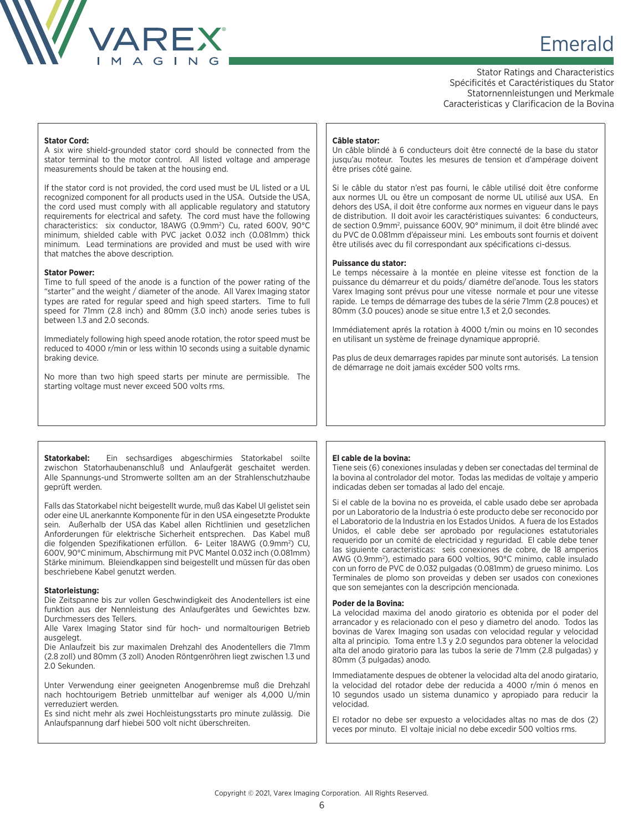

# **Emerald** & Emerald & Emerald

Stator Ratings and Characteristics Spécificités et Caractéristiques du Stator Statornennleistungen und Merkmale Caracteristicas y Clarificacion de la Bovina

#### **Stator Cord:**

A six wire shield-grounded stator cord should be connected from the stator terminal to the motor control. All listed voltage and amperage measurements should be taken at the housing end.

If the stator cord is not provided, the cord used must be UL listed or a UL recognized component for all products used in the USA. Outside the USA, the cord used must comply with all applicable regulatory and statutory requirements for electrical and safety. The cord must have the following characteristics: six conductor, 18AWG (0.9mm<sup>2</sup>) Cu, rated 600V, 90°C minimum, shielded cable with PVC jacket 0.032 inch (0.081mm) thick minimum. Lead terminations are provided and must be used with wire that matches the above description.

#### **Stator Power:**

Time to full speed of the anode is a function of the power rating of the "starter" and the weight / diameter of the anode. All Varex Imaging stator types are rated for regular speed and high speed starters. Time to full speed for 71mm (2.8 inch) and 80mm (3.0 inch) anode series tubes is between 1.3 and 2.0 seconds.

Immediately following high speed anode rotation, the rotor speed must be reduced to 4000 r/min or less within 10 seconds using a suitable dynamic braking device.

No more than two high speed starts per minute are permissible. The starting voltage must never exceed 500 volts rms.

#### **Câble stator:**

Un câble blindé à 6 conducteurs doit être connecté de la base du stator jusqu'au moteur. Toutes les mesures de tension et d'ampérage doivent être prises côté gaine.

Si le câble du stator n'est pas fourni, le câble utilisé doit être conforme aux normes UL ou être un composant de norme UL utilisé aux USA. En dehors des USA, il doit être conforme aux normes en vigueur dans le pays de distribution. II doit avoir les caractéristiques suivantes: 6 conducteurs, de section 0.9mm<sup>2</sup>, puissance 600V, 90° minimum, il doit être blindé avec du PVC de 0.081mm d'épaisseur mini. Les embouts sont fournis et doivent être utilisés avec du fil correspondant aux spécifications ci-dessus.

#### **Puissance du stator:**

Le temps nécessaire à la montée en pleine vitesse est fonction de la puissance du démarreur et du poids/ diamétre del'anode. Tous les stators Varex Imaging sont prévus pour une vitesse normale et pour une vitesse rapide. Le temps de démarrage des tubes de la série 71mm (2.8 pouces) et 80mm (3.0 pouces) anode se situe entre 1,3 et 2,0 secondes.

Immédiatement aprés la rotation à 4000 t/min ou moins en 10 secondes en utilisant un système de freinage dynamique approprié.

Pas plus de deux demarrages rapides par minute sont autorisés. La tension de démarrage ne doit jamais excéder 500 volts rms.

**Statorkabel:** Ein sechsardiges abgeschirmies Statorkabel soilte zwischon Statorhaubenanschluß und Anlaufgerät geschaitet werden. Alle Spannungs-und Stromwerte sollten am an der Strahlenschutzhaube geprüft werden.

Falls das Statorkabel nicht beigestellt wurde, muß das Kabel Ul gelistet sein oder eine UL anerkannte Komponente für in den USA eingesetzte Produkte sein. Außerhalb der USA das Kabel allen Richtlinien und gesetzlichen Anforderungen für elektrische Sicherheit entsprechen. Das Kabel muß die folgenden Spezifikationen erfüllon. 6- Leiter 18AWG (0.9mm2 ) CU, 600V, 90°C minimum, Abschirmung mit PVC Mantel 0.032 inch (0.081mm) Stärke minimum. Bleiendkappen sind beigestellt und müssen für das oben beschriebene Kabel genutzt werden.

#### **Statorleistung:**

Die Zeitspanne bis zur vollen Geschwindigkeit des Anodentellers ist eine funktion aus der Nennleistung des Anlaufgerätes und Gewichtes bzw. Durchmessers des Tellers.

Alle Varex Imaging Stator sind für hoch- und normaltourigen Betrieb ausgelegt.

Die Anlaufzeit bis zur maximalen Drehzahl des Anodentellers die 71mm (2.8 zoll) und 80mm (3 zoll) Anoden Röntgenröhren liegt zwischen 1.3 und 2.0 Sekunden.

Unter Verwendung einer geeigneten Anogenbremse muß die Drehzahl nach hochtourigem Betrieb unmittelbar auf weniger als 4,000 U/min verreduziert werden.

Es sind nicht mehr als zwei Hochleistungsstarts pro minute zulässig. Die Anlaufspannung darf hiebei 500 volt nicht überschreiten.

#### **El cable de la bovina:**

Tiene seis (6) conexiones insuladas y deben ser conectadas del terminal de la bovina al controlador del motor. Todas las medidas de voltaje y amperio indicadas deben ser tomadas al lado del encaje.

Si el cable de la bovina no es proveida, el cable usado debe ser aprobada por un Laboratorio de la Industria ó este producto debe ser reconocido por el Laboratorio de la Industria en los Estados Unidos. A fuera de los Estados Unidos, el cable debe ser aprobado por regulaciones estatutoriales requerido por un comité de electricidad y reguridad. El cable debe tener las siguiente caracteristicas: seis conexiones de cobre, de 18 amperios AWG (0.9mm2 ), estimado para 600 voltios, 90°C minimo, cable insulado con un forro de PVC de 0.032 pulgadas (0.081mm) de grueso minimo. Los Terminales de plomo son proveidas y deben ser usados con conexiones que son semejantes con la descripción mencionada.

#### **Poder de la Bovina:**

La velocidad maxima del anodo giratorio es obtenida por el poder del arrancador y es relacionado con el peso y diametro del anodo. Todos las bovinas de Varex Imaging son usadas con velocidad regular y velocidad alta al principio. Toma entre 1.3 y 2.0 segundos para obtener la velocidad alta del anodo giratorio para las tubos la serie de 71mm (2.8 pulgadas) y 80mm (3 pulgadas) anodo.

Immediatamente despues de obtener la velocidad alta del anodo giratario, la velocidad del rotador debe der reducida a 4000 r/min ó menos en 10 segundos usado un sistema dunamico y apropiado para reducir la velocidad.

El rotador no debe ser expuesto a velocidades altas no mas de dos (2) veces por minuto. El voltaje inicial no debe excedir 500 voltios rms.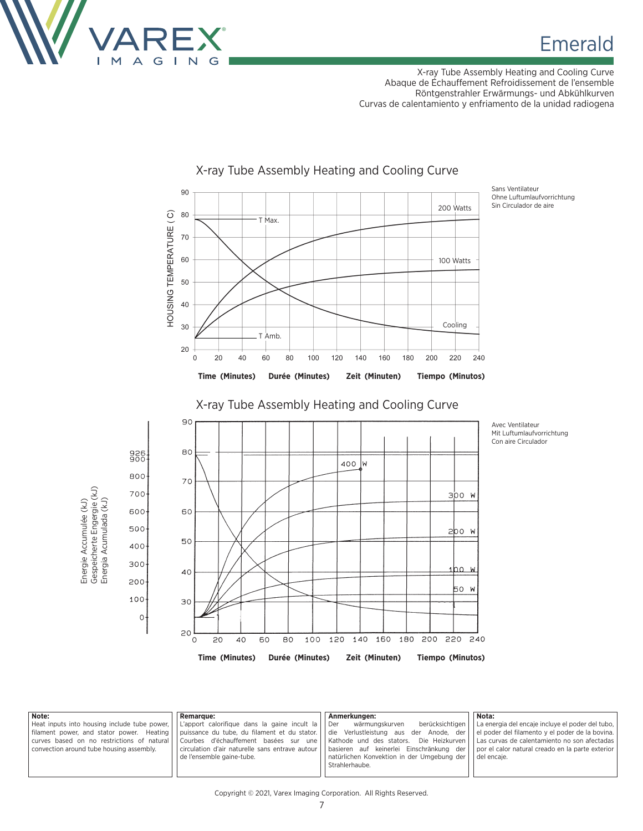

X-ray Tube Assembly Heating and Cooling Curve Abaque de Échauffement Refroidissement de l'ensemble Röntgenstrahler Erwärmungs- und Abkühlkurven Curvas de calentamiento y enfriamento de la unidad radiogena



### X-ray Tube Assembly Heating and Cooling Curve

Ohne Luftumlaufvorrichtung Sin Circulador de aire



X-ray Tube Assembly Heating and Cooling Curve

Avec Ventilateur Mit Luftumlaufvorrichtung Con aire Circulador

| Note:                                                                                                                                                                                           | <b>Remarque:</b>                                                                                                                                                                                                            | Anmerkungen:                                                                                                                                                                                                                              | Nota:                                                                                                                                                                                                                          |
|-------------------------------------------------------------------------------------------------------------------------------------------------------------------------------------------------|-----------------------------------------------------------------------------------------------------------------------------------------------------------------------------------------------------------------------------|-------------------------------------------------------------------------------------------------------------------------------------------------------------------------------------------------------------------------------------------|--------------------------------------------------------------------------------------------------------------------------------------------------------------------------------------------------------------------------------|
| Heat inputs into housing include tube power,    <br>filament power, and stator power. Heating    <br>curves based on no restrictions of natural    <br>convection around tube housing assembly. | L'apport calorifique dans la gaine incult la<br>puissance du tube, du filament et du stator.<br>l Courbes d'échauffement basées sur une l<br>circulation d'air naturelle sans entrave autour l<br>de l'ensemble gaine-tube. | berücksichtigen<br>Der<br>wärmungskurven<br>die Verlustleistung aus der Anode, der<br>Kathode und des stators. Die Heizkurven<br>basieren auf keinerlei Einschränkung der<br>natürlichen Konvektion in der Umgebung der<br>Strahlerhaube. | La energia del encaje incluye el poder del tubo,<br>    el poder del filamento y el poder de la bovina.<br>    Las curvas de calentamiento no son afectadas<br>nor el calor natural creado en la parte exterior<br>del encaje. |

Copyright © 2021, Varex Imaging Corporation. All Rights Reserved.